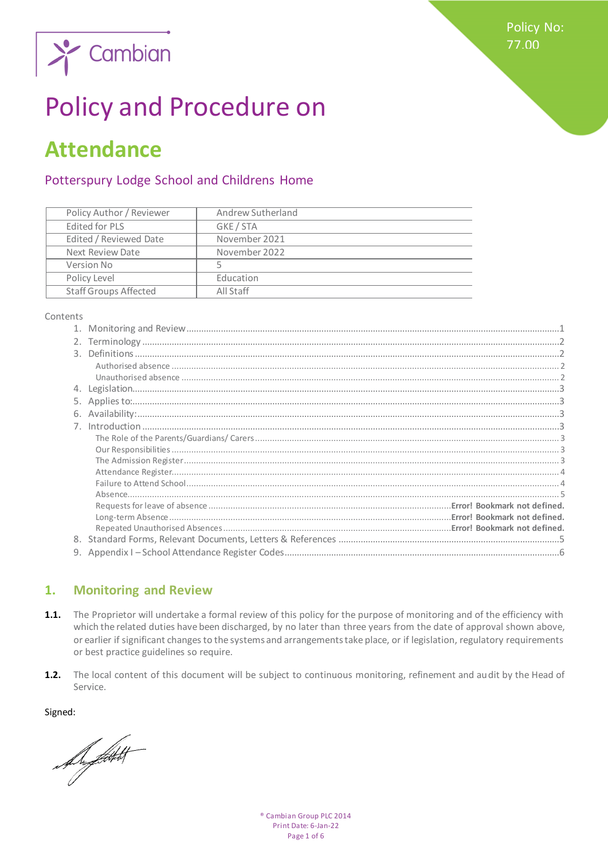**Policy No:** 77.00



# **Policy and Procedure on**

## **Attendance**

## Potterspury Lodge School and Childrens Home

| Andrew Sutherland |
|-------------------|
| GKE / STA         |
| November 2021     |
| November 2022     |
| 5                 |
| Education         |
| All Staff         |
|                   |

#### Contents

| 9. |
|----|

#### <span id="page-0-0"></span> $1.$ **Monitoring and Review**

- The Proprietor will undertake a formal review of this policy for the purpose of monitoring and of the efficiency with  $1.1.$ which the related duties have been discharged, by no later than three years from the date of approval shown above, or earlier if significant changes to the systems and arrangements take place, or if legislation, regulatory requirements or best practice guidelines so require.
- $1.2.$ The local content of this document will be subject to continuous monitoring, refinement and audit by the Head of Service.

Signed:

Support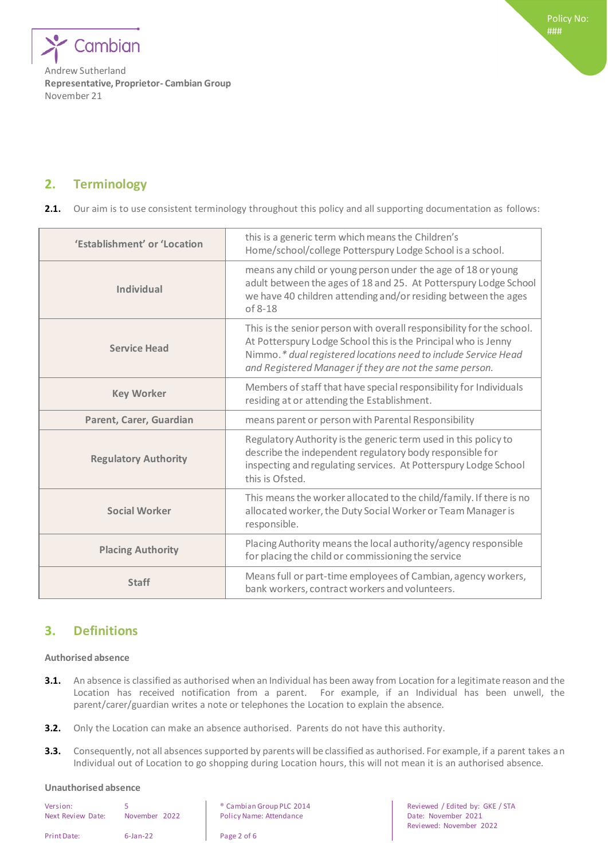

## <span id="page-1-0"></span>**2. Terminology**

**2.1.** Our aim is to use consistent terminology throughout this policy and all supporting documentation as follows:

| 'Establishment' or 'Location | this is a generic term which means the Children's<br>Home/school/college Potterspury Lodge School is a school.                                                                                                                                                       |  |  |
|------------------------------|----------------------------------------------------------------------------------------------------------------------------------------------------------------------------------------------------------------------------------------------------------------------|--|--|
| <b>Individual</b>            | means any child or young person under the age of 18 or young<br>adult between the ages of 18 and 25. At Potterspury Lodge School<br>we have 40 children attending and/or residing between the ages<br>$of 8-18$                                                      |  |  |
| <b>Service Head</b>          | This is the senior person with overall responsibility for the school.<br>At Potterspury Lodge School this is the Principal who is Jenny<br>Nimmo.* dual registered locations need to include Service Head<br>and Registered Manager if they are not the same person. |  |  |
| <b>Key Worker</b>            | Members of staff that have special responsibility for Individuals<br>residing at or attending the Establishment.                                                                                                                                                     |  |  |
| Parent, Carer, Guardian      | means parent or person with Parental Responsibility                                                                                                                                                                                                                  |  |  |
| <b>Regulatory Authority</b>  | Regulatory Authority is the generic term used in this policy to<br>describe the independent regulatory body responsible for<br>inspecting and regulating services. At Potterspury Lodge School<br>this is Ofsted.                                                    |  |  |
| <b>Social Worker</b>         | This means the worker allocated to the child/family. If there is no<br>allocated worker, the Duty Social Worker or Team Manager is<br>responsible.                                                                                                                   |  |  |
| <b>Placing Authority</b>     | Placing Authority means the local authority/agency responsible<br>for placing the child or commissioning the service                                                                                                                                                 |  |  |
| <b>Staff</b>                 | Means full or part-time employees of Cambian, agency workers,<br>bank workers, contract workers and volunteers.                                                                                                                                                      |  |  |

## <span id="page-1-1"></span>**3. Definitions**

#### <span id="page-1-2"></span>**Authorised absence**

- **3.1.** An absence is classified as authorised when an Individual has been away from Location for a legitimate reason and the Location has received notification from a parent. For example, if an Individual has been unwell, the parent/carer/guardian writes a note or telephones the Location to explain the absence.
- **3.2.** Only the Location can make an absence authorised. Parents do not have this authority.
- **3.3.** Consequently, not all absences supported by parents will be classified as authorised. For example, if a parent takes an Individual out of Location to go shopping during Location hours, this will not mean it is an authorised absence.

#### <span id="page-1-3"></span>**Unauthorised absence**

| Version:<br>Next Review Date: | 5<br>November 2022 |  |
|-------------------------------|--------------------|--|
| Print Date:                   | $6$ -Jan-22        |  |

Next Review Date: November 2022 Policy Name: Attendance Date: November 2021

• Cambian Group PLC 2014 **Reviewed / Edited by: GKE / STA** Reviewed: November 2022

Page 2 of 6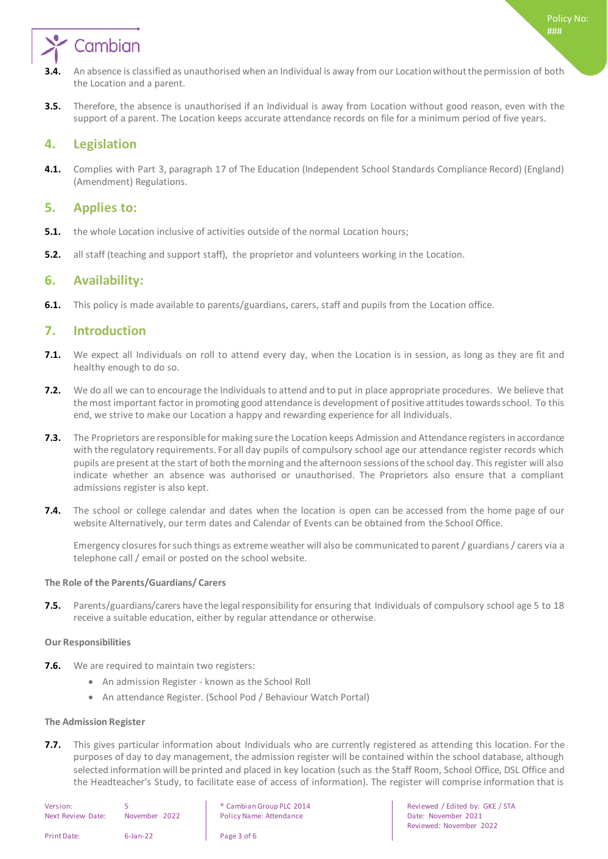

- **3.4.** An absence is classified as unauthorised when an Individual is away from our Locationwithout the permission of both the Location and a parent.
- **3.5.** Therefore, the absence is unauthorised if an Individual is away from Location without good reason, even with the support of a parent. The Location keeps accurate attendance records on file for a minimum period of five years.

### <span id="page-2-0"></span>**4. Legislation**

**4.1.** Complies with Part 3, paragraph 17 of The Education (Independent School Standards Compliance Record) (England) (Amendment) Regulations.

### <span id="page-2-1"></span>**5. Applies to:**

- **5.1.** the whole Location inclusive of activities outside of the normal Location hours;
- <span id="page-2-2"></span>**5.2.** all staff (teaching and support staff), the proprietor and volunteers working in the Location.

## **6. Availability:**

<span id="page-2-3"></span>**6.1.** This policy is made available to parents/guardians, carers, staff and pupils from the Location office.

## **7. Introduction**

- **7.1.** We expect all Individuals on roll to attend every day, when the Location is in session, as long as they are fit and healthy enough to do so.
- **7.2.** We do all we can to encourage the Individuals to attend and to put in place appropriate procedures. We believe that the most important factor in promoting good attendance is development of positive attitudes towards school. To this end, we strive to make our Location a happy and rewarding experience for all Individuals.
- **7.3.** The Proprietors are responsible for making sure the Location keeps Admission and Attendance registers in accordance with the regulatory requirements. For all day pupils of compulsory school age our attendance register records which pupils are present at the start of both the morning and the afternoon sessions of the school day. This register will also indicate whether an absence was authorised or unauthorised. The Proprietors also ensure that a compliant admissions register is also kept.
- **7.4.** The school or college calendar and dates when the location is open can be accessed from the home page of our website Alternatively, our term dates and Calendar of Events can be obtained from the School Office.

Emergency closures for such things as extreme weather will also be communicated to parent / guardians / carers via a telephone call / email or posted on the school website.

#### <span id="page-2-4"></span>**The Role of the Parents/Guardians/ Carers**

**7.5.** Parents/guardians/carers have the legal responsibility for ensuring that Individuals of compulsory school age 5 to 18 receive a suitable education, either by regular attendance or otherwise.

#### <span id="page-2-5"></span>**Our Responsibilities**

- **7.6.** We are required to maintain two registers:
	- An admission Register known as the School Roll
	- An attendance Register. (School Pod / Behaviour Watch Portal)

#### <span id="page-2-6"></span>**The Admission Register**

**7.7.** This gives particular information about Individuals who are currently registered as attending this location. For the purposes of day to day management, the admission register will be contained within the school database, although selected information will be printed and placed in key location (such as the Staff Room, School Office, DSL Office and the Headteacher's Study, to facilitate ease of access of information). The register will comprise information that is

| Version:          |               | <sup>®</sup> Cambian O |
|-------------------|---------------|------------------------|
| Next Review Date: | November 2022 | Policy Name            |
| Print Date:       | $6$ -Jan-22   | Page 3 of 6            |

Next Review Date: November 2022 Policy Name: Attendance Date: November 2021

Group PLC 2014 **Cambian Cambian Cambian Cambian Cambian Group PLC** 2014 Reviewed: November 2022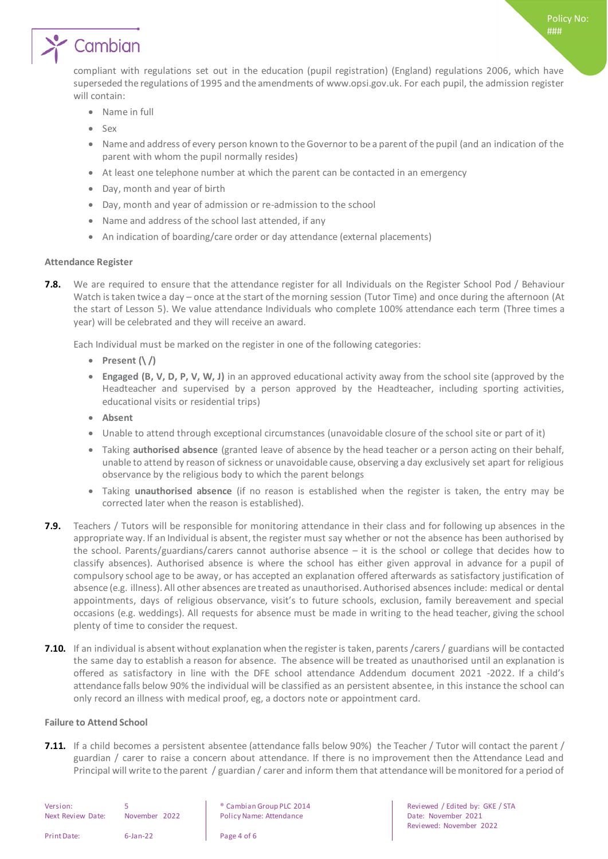# Cambian

compliant with regulations set out in the education (pupil registration) (England) regulations 2006, which have superseded the regulations of 1995 and the amendments of www.opsi.gov.uk. For each pupil, the admission register will contain:

- Name in full
- $S_{\text{PX}}$
- Name and address of every person known to the Governor to be a parent of the pupil (and an indication of the parent with whom the pupil normally resides)
- At least one telephone number at which the parent can be contacted in an emergency
- Day, month and year of birth
- Day, month and year of admission or re-admission to the school
- Name and address of the school last attended, if any
- An indication of boarding/care order or day attendance (external placements)

#### <span id="page-3-0"></span>**Attendance Register**

**7.8.** We are required to ensure that the attendance register for all Individuals on the Register School Pod / Behaviour Watch is taken twice a day – once at the start of the morning session (Tutor Time) and once during the afternoon (At the start of Lesson 5). We value attendance Individuals who complete 100% attendance each term (Three times a year) will be celebrated and they will receive an award.

Each Individual must be marked on the register in one of the following categories:

- **Present (\ /)**
- **Engaged (B, V, D, P, V, W, J)** in an approved educational activity away from the school site (approved by the Headteacher and supervised by a person approved by the Headteacher, including sporting activities, educational visits or residential trips)
- **Absent**
- Unable to attend through exceptional circumstances (unavoidable closure of the school site or part of it)
- Taking **authorised absence** (granted leave of absence by the head teacher or a person acting on their behalf, unable to attend by reason of sickness or unavoidable cause, observing a day exclusively set apart for religious observance by the religious body to which the parent belongs
- Taking **unauthorised absence** (if no reason is established when the register is taken, the entry may be corrected later when the reason is established).
- **7.9.** Teachers / Tutors will be responsible for monitoring attendance in their class and for following up absences in the appropriate way. If an Individual is absent, the register must say whether or not the absence has been authorised by the school. Parents/guardians/carers cannot authorise absence – it is the school or college that decides how to classify absences). Authorised absence is where the school has either given approval in advance for a pupil of compulsory school age to be away, or has accepted an explanation offered afterwards as satisfactory justification of absence (e.g. illness). All other absences are treated as unauthorised. Authorised absences include: medical or dental appointments, days of religious observance, visit's to future schools, exclusion, family bereavement and special occasions (e.g. weddings). All requests for absence must be made in writing to the head teacher, giving the school plenty of time to consider the request.
- **7.10.** If an individual is absent without explanation when the register is taken, parents /carers / guardians will be contacted the same day to establish a reason for absence. The absence will be treated as unauthorised until an explanation is offered as satisfactory in line with the DFE school attendance Addendum document 2021 -2022. If a child's attendance falls below 90% the individual will be classified as an persistent absentee, in this instance the school can only record an illness with medical proof, eg, a doctors note or appointment card.

#### <span id="page-3-1"></span>**Failure to Attend School**

**7.11.** If a child becomes a persistent absentee (attendance falls below 90%) the Teacher / Tutor will contact the parent / guardian / carer to raise a concern about attendance. If there is no improvement then the Attendance Lead and Principal will write to the parent / guardian / carer and inform them that attendance will be monitored for a period of

| Version:<br>Next Review Date: | November 2022 | <sup>®</sup> Cambian Group I<br><b>Policy Name: Atter</b> |
|-------------------------------|---------------|-----------------------------------------------------------|
| Print Date:                   | $6$ -Jan-22   | Page 4 of 6                                               |

PLC 2014 **Example 2014** Reviewed / Edited by: GKE / STA ndance **Next Actual Policy Name: Attendance Policy Name: Attendance Policy Name: Attendance Policy Name: Attendance** Reviewed: November 2022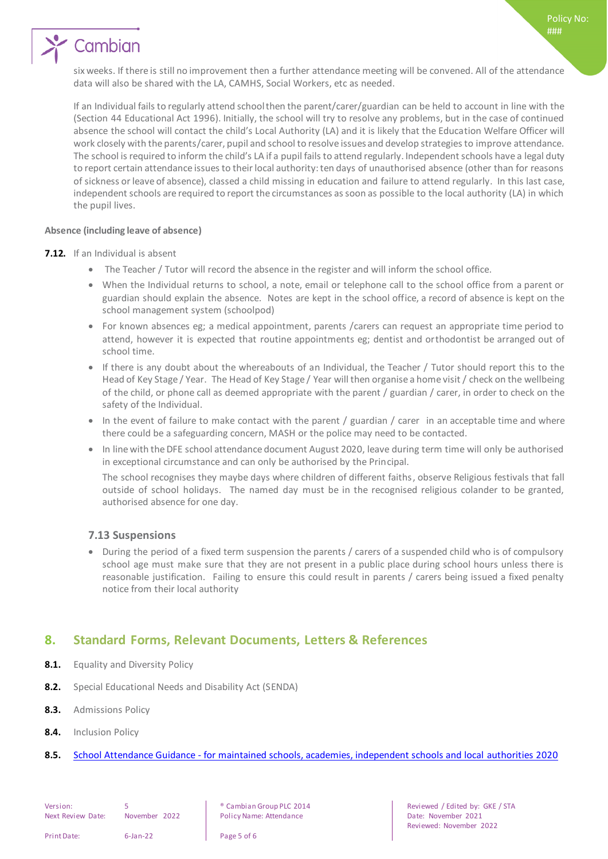## Cambian

six weeks. If there is still no improvement then a further attendance meeting will be convened. All of the attendance data will also be shared with the LA, CAMHS, Social Workers, etc as needed.

If an Individual fails to regularly attend school then the parent/carer/guardian can be held to account in line with the (Section 44 Educational Act 1996). Initially, the school will try to resolve any problems, but in the case of continued absence the school will contact the child's Local Authority (LA) and it is likely that the Education Welfare Officer will work closely with the parents/carer, pupil and school to resolve issues and develop strategies to improve attendance. The school is required to inform the child's LA if a pupil fails to attend regularly. Independent schools have a legal duty to report certain attendance issues to their local authority: ten days of unauthorised absence (other than for reasons of sickness or leave of absence), classed a child missing in education and failure to attend regularly. In this last case, independent schools are required to report the circumstances as soon as possible to the local authority (LA) in which the pupil lives.

#### <span id="page-4-0"></span>**Absence (including leave of absence)**

#### **7.12.** If an Individual is absent

- The Teacher / Tutor will record the absence in the register and will inform the school office.
- When the Individual returns to school, a note, email or telephone call to the school office from a parent or guardian should explain the absence. Notes are kept in the school office, a record of absence is kept on the school management system (schoolpod)
- For known absences eg; a medical appointment, parents /carers can request an appropriate time period to attend, however it is expected that routine appointments eg; dentist and orthodontist be arranged out of school time.
- If there is any doubt about the whereabouts of an Individual, the Teacher / Tutor should report this to the Head of Key Stage / Year. The Head of Key Stage / Year will then organise a home visit / check on the wellbeing of the child, or phone call as deemed appropriate with the parent / guardian / carer, in order to check on the safety of the Individual.
- In the event of failure to make contact with the parent / guardian / carer in an acceptable time and where there could be a safeguarding concern, MASH or the police may need to be contacted.
- In line with the DFE school attendance document August 2020, leave during term time will only be authorised in exceptional circumstance and can only be authorised by the Principal.

The school recognises they maybe days where children of different faiths, observe Religious festivals that fall outside of school holidays. The named day must be in the recognised religious colander to be granted, authorised absence for one day.

#### **7.13 Suspensions**

 During the period of a fixed term suspension the parents / carers of a suspended child who is of compulsory school age must make sure that they are not present in a public place during school hours unless there is reasonable justification. Failing to ensure this could result in parents / carers being issued a fixed penalty notice from their local authority

## <span id="page-4-1"></span>**8. Standard Forms, Relevant Documents, Letters & References**

- 8.1. Equality and Diversity Policy
- **8.2.** Special Educational Needs and Disability Act (SENDA)
- **8.3.** Admissions Policy
- **8.4.** Inclusion Policy
- <span id="page-4-2"></span>**8.5.** School Attendance Guidance - [for maintained schools, academies, independent schools and local authoritie](https://www.gov.uk/government/uploads/system/uploads/attachment_data/file/564599/school_attendance.pdf)s 2020